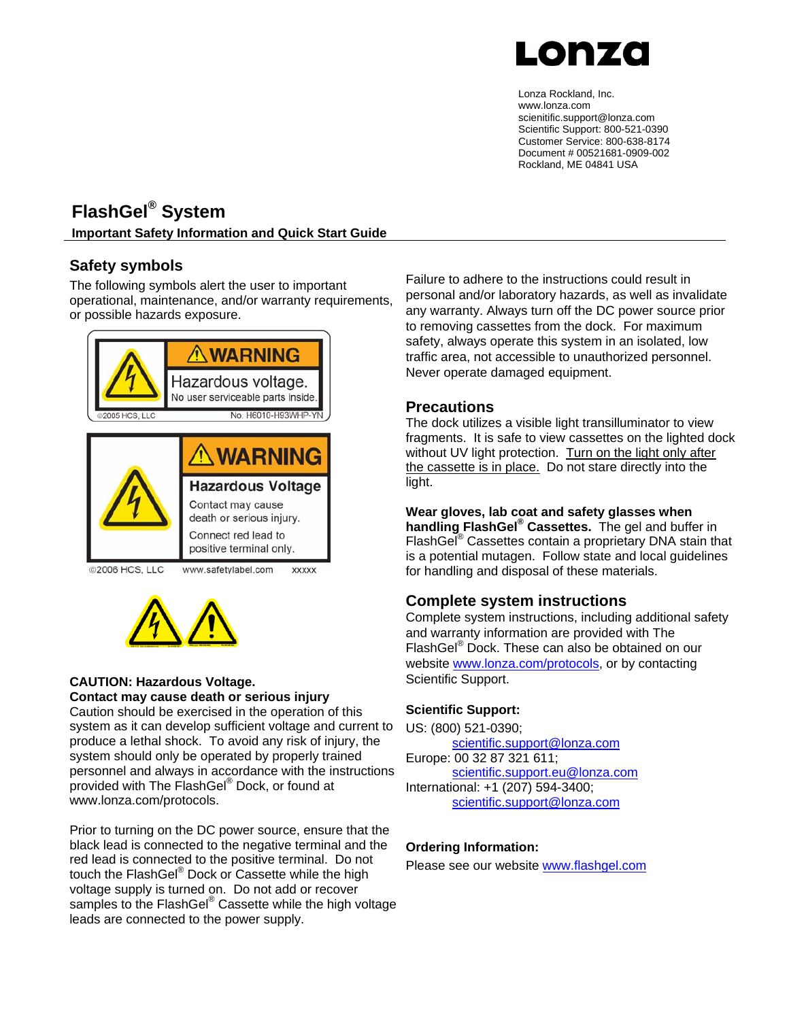

Lonza Rockland, Inc. www.lonza.com scienitific.support@lonza.com Scientific Support: 800-521-0390 Customer Service: 800-638-8174 Document # 00521681-0909-002 Rockland, ME 04841 USA

## **FlashGel® System**

**Important Safety Information and Quick Start Guide** 

#### **Safety symbols**

The following symbols alert the user to important operational, maintenance, and/or warranty requirements, or possible hazards exposure.



©2006 HCS, LLC

www.safetylabel.com



#### **CAUTION: Hazardous Voltage.**

**Contact may cause death or serious injury**  Caution should be exercised in the operation of this system as it can develop sufficient voltage and current to produce a lethal shock. To avoid any risk of injury, the system should only be operated by properly trained personnel and always in accordance with the instructions .<br>provided with The FlashGel® Dock, or found at www.lonza.com/protocols.

Prior to turning on the DC power source, ensure that the black lead is connected to the negative terminal and the red lead is connected to the positive terminal. Do not touch the FlashGel<sup>®</sup> Dock or Cassette while the high voltage supply is turned on. Do not add or recover samples to the FlashGel<sup>®</sup> Cassette while the high voltage leads are connected to the power supply.

Failure to adhere to the instructions could result in personal and/or laboratory hazards, as well as invalidate any warranty. Always turn off the DC power source prior to removing cassettes from the dock. For maximum safety, always operate this system in an isolated, low traffic area, not accessible to unauthorized personnel. Never operate damaged equipment.

#### **Precautions**

The dock utilizes a visible light transilluminator to view fragments. It is safe to view cassettes on the lighted dock without UV light protection. Turn on the light only after the cassette is in place. Do not stare directly into the light.

#### **Wear gloves, lab coat and safety glasses when**

**handling FlashGel® Cassettes.** The gel and buffer in FlashGel<sup>®</sup> Cassettes contain a proprietary DNA stain that is a potential mutagen. Follow state and local guidelines for handling and disposal of these materials.

#### **Complete system instructions**

Complete system instructions, including additional safety and warranty information are provided with The FlashGel® Dock. These can also be obtained on our website www.lonza.com/protocols, or by contacting Scientific Support.

#### **Scientific Support:**

US: (800) 521-0390; scientific.support@lonza.com Europe: 00 32 87 321 611; scientific.support.eu@lonza.com International: +1 (207) 594-3400; scientific.support@lonza.com

#### **Ordering Information:**

Please see our website www.flashgel.com